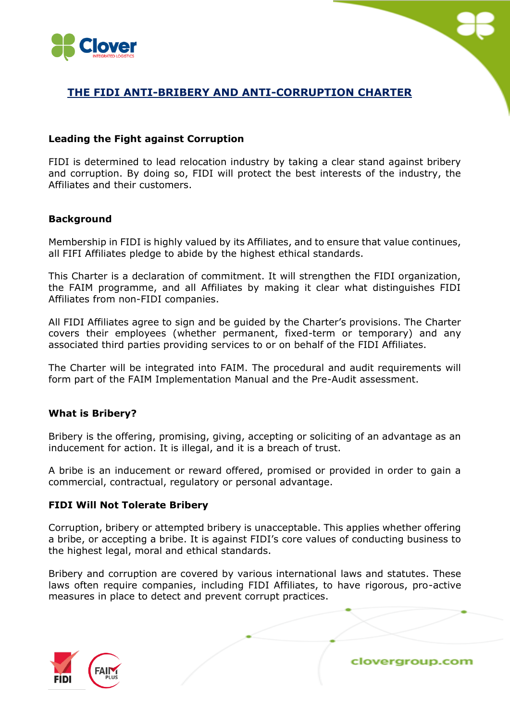

# **THE FIDI ANTI-BRIBERY AND ANTI-CORRUPTION CHARTER**

### **Leading the Fight against Corruption**

FIDI is determined to lead relocation industry by taking a clear stand against bribery and corruption. By doing so, FIDI will protect the best interests of the industry, the Affiliates and their customers.

### **Background**

Membership in FIDI is highly valued by its Affiliates, and to ensure that value continues, all FIFI Affiliates pledge to abide by the highest ethical standards.

This Charter is a declaration of commitment. It will strengthen the FIDI organization, the FAIM programme, and all Affiliates by making it clear what distinguishes FIDI Affiliates from non-FIDI companies.

All FIDI Affiliates agree to sign and be guided by the Charter's provisions. The Charter covers their employees (whether permanent, fixed-term or temporary) and any associated third parties providing services to or on behalf of the FIDI Affiliates.

The Charter will be integrated into FAIM. The procedural and audit requirements will form part of the FAIM Implementation Manual and the Pre-Audit assessment.

## **What is Bribery?**

Bribery is the offering, promising, giving, accepting or soliciting of an advantage as an inducement for action. It is illegal, and it is a breach of trust.

A bribe is an inducement or reward offered, promised or provided in order to gain a commercial, contractual, regulatory or personal advantage.

### **FIDI Will Not Tolerate Bribery**

Corruption, bribery or attempted bribery is unacceptable. This applies whether offering a bribe, or accepting a bribe. It is against FIDI's core values of conducting business to the highest legal, moral and ethical standards.

Bribery and corruption are covered by various international laws and statutes. These laws often require companies, including FIDI Affiliates, to have rigorous, pro-active measures in place to detect and prevent corrupt practices.

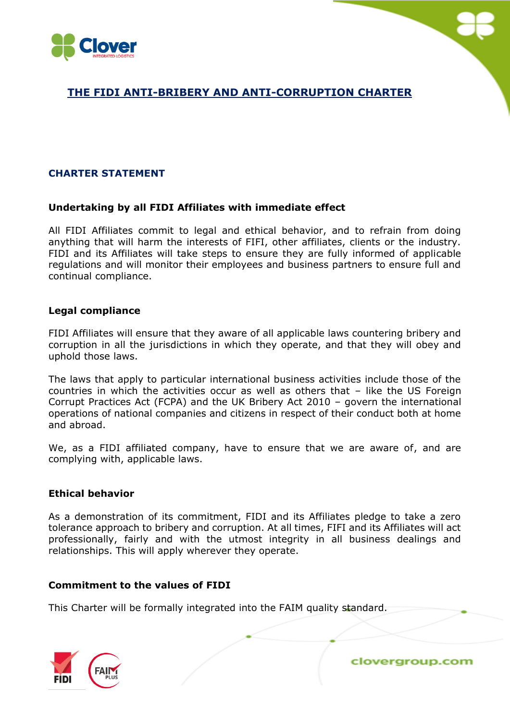



# **THE FIDI ANTI-BRIBERY AND ANTI-CORRUPTION CHARTER**

# **CHARTER STATEMENT**

### **Undertaking by all FIDI Affiliates with immediate effect**

All FIDI Affiliates commit to legal and ethical behavior, and to refrain from doing anything that will harm the interests of FIFI, other affiliates, clients or the industry. FIDI and its Affiliates will take steps to ensure they are fully informed of applicable regulations and will monitor their employees and business partners to ensure full and continual compliance.

### **Legal compliance**

FIDI Affiliates will ensure that they aware of all applicable laws countering bribery and corruption in all the jurisdictions in which they operate, and that they will obey and uphold those laws.

The laws that apply to particular international business activities include those of the countries in which the activities occur as well as others that – like the US Foreign Corrupt Practices Act (FCPA) and the UK Bribery Act 2010 – govern the international operations of national companies and citizens in respect of their conduct both at home and abroad.

We, as a FIDI affiliated company, have to ensure that we are aware of, and are complying with, applicable laws.

### **Ethical behavior**

As a demonstration of its commitment, FIDI and its Affiliates pledge to take a zero tolerance approach to bribery and corruption. At all times, FIFI and its Affiliates will act professionally, fairly and with the utmost integrity in all business dealings and relationships. This will apply wherever they operate.

## **Commitment to the values of FIDI**

This Charter will be formally integrated into the FAIM quality standard.

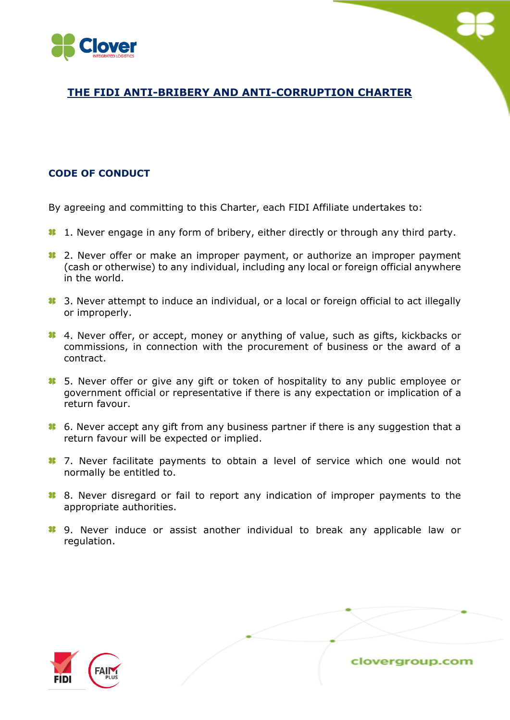

# **THE FIDI ANTI-BRIBERY AND ANTI-CORRUPTION CHARTER**

# **CODE OF CONDUCT**

By agreeing and committing to this Charter, each FIDI Affiliate undertakes to:

- <sup>1</sup>. 1. Never engage in any form of bribery, either directly or through any third party.
- <sup>1</sup> 2. Never offer or make an improper payment, or authorize an improper payment (cash or otherwise) to any individual, including any local or foreign official anywhere in the world.
- <sup>3</sup>. 3. Never attempt to induce an individual, or a local or foreign official to act illegally or improperly.
- **1** 4. Never offer, or accept, money or anything of value, such as gifts, kickbacks or commissions, in connection with the procurement of business or the award of a contract.
- <sup>1</sup> 5. Never offer or give any gift or token of hospitality to any public employee or government official or representative if there is any expectation or implication of a return favour.
- <sup>1</sup> 6. Never accept any gift from any business partner if there is any suggestion that a return favour will be expected or implied.
- **1** 7. Never facilitate payments to obtain a level of service which one would not normally be entitled to.
- 8. Never disregard or fail to report any indication of improper payments to the appropriate authorities.
- **8** 9. Never induce or assist another individual to break any applicable law or regulation.